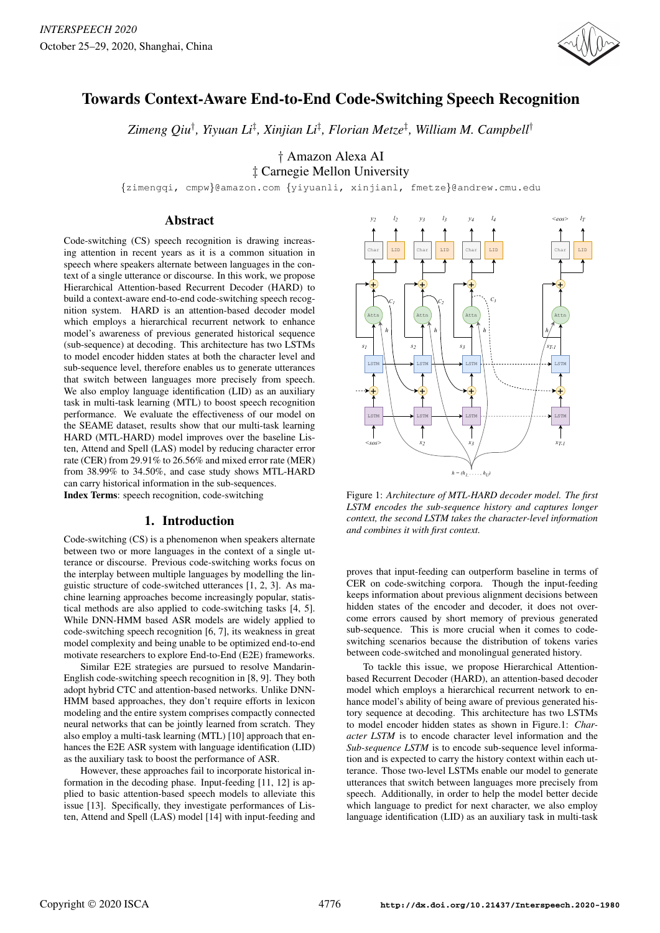

# Towards Context-Aware End-to-End Code-Switching Speech Recognition

*Zimeng Qiu*† *, Yiyuan Li*‡ *, Xinjian Li*‡ *, Florian Metze*‡ *, William M. Campbell*†

† Amazon Alexa AI

‡ Carnegie Mellon University

{zimengqi, cmpw}@amazon.com {yiyuanli, xinjianl, fmetze}@andrew.cmu.edu

### Abstract

Code-switching (CS) speech recognition is drawing increasing attention in recent years as it is a common situation in speech where speakers alternate between languages in the context of a single utterance or discourse. In this work, we propose Hierarchical Attention-based Recurrent Decoder (HARD) to build a context-aware end-to-end code-switching speech recognition system. HARD is an attention-based decoder model which employs a hierarchical recurrent network to enhance model's awareness of previous generated historical sequence (sub-sequence) at decoding. This architecture has two LSTMs to model encoder hidden states at both the character level and sub-sequence level, therefore enables us to generate utterances that switch between languages more precisely from speech. We also employ language identification (LID) as an auxiliary task in multi-task learning (MTL) to boost speech recognition performance. We evaluate the effectiveness of our model on the SEAME dataset, results show that our multi-task learning HARD (MTL-HARD) model improves over the baseline Listen, Attend and Spell (LAS) model by reducing character error rate (CER) from 29.91% to 26.56% and mixed error rate (MER) from 38.99% to 34.50%, and case study shows MTL-HARD can carry historical information in the sub-sequences. Index Terms: speech recognition, code-switching

### 1. Introduction

Code-switching (CS) is a phenomenon when speakers alternate between two or more languages in the context of a single utterance or discourse. Previous code-switching works focus on the interplay between multiple languages by modelling the linguistic structure of code-switched utterances [1, 2, 3]. As machine learning approaches become increasingly popular, statistical methods are also applied to code-switching tasks [4, 5]. While DNN-HMM based ASR models are widely applied to code-switching speech recognition [6, 7], its weakness in great model complexity and being unable to be optimized end-to-end motivate researchers to explore End-to-End (E2E) frameworks.

Similar E2E strategies are pursued to resolve Mandarin-English code-switching speech recognition in [8, 9]. They both adopt hybrid CTC and attention-based networks. Unlike DNN-HMM based approaches, they don't require efforts in lexicon modeling and the entire system comprises compactly connected neural networks that can be jointly learned from scratch. They also employ a multi-task learning (MTL) [10] approach that enhances the E2E ASR system with language identification (LID) as the auxiliary task to boost the performance of ASR.

However, these approaches fail to incorporate historical information in the decoding phase. Input-feeding [11, 12] is applied to basic attention-based speech models to alleviate this issue [13]. Specifically, they investigate performances of Listen, Attend and Spell (LAS) model [14] with input-feeding and



Figure 1: *Architecture of MTL-HARD decoder model. The first LSTM encodes the sub-sequence history and captures longer context, the second LSTM takes the character-level information and combines it with first context.*

proves that input-feeding can outperform baseline in terms of CER on code-switching corpora. Though the input-feeding keeps information about previous alignment decisions between hidden states of the encoder and decoder, it does not overcome errors caused by short memory of previous generated sub-sequence. This is more crucial when it comes to codeswitching scenarios because the distribution of tokens varies between code-switched and monolingual generated history.

To tackle this issue, we propose Hierarchical Attentionbased Recurrent Decoder (HARD), an attention-based decoder model which employs a hierarchical recurrent network to enhance model's ability of being aware of previous generated history sequence at decoding. This architecture has two LSTMs to model encoder hidden states as shown in Figure.1: *Character LSTM* is to encode character level information and the *Sub-sequence LSTM* is to encode sub-sequence level information and is expected to carry the history context within each utterance. Those two-level LSTMs enable our model to generate utterances that switch between languages more precisely from speech. Additionally, in order to help the model better decide which language to predict for next character, we also employ language identification (LID) as an auxiliary task in multi-task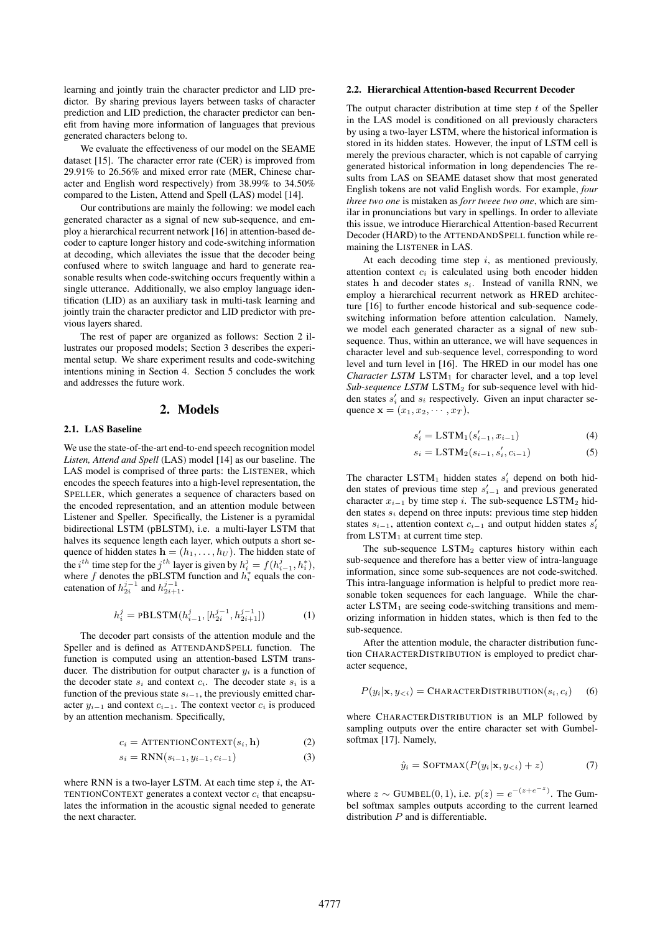learning and jointly train the character predictor and LID predictor. By sharing previous layers between tasks of character prediction and LID prediction, the character predictor can benefit from having more information of languages that previous generated characters belong to.

We evaluate the effectiveness of our model on the SEAME dataset [15]. The character error rate (CER) is improved from 29.91% to 26.56% and mixed error rate (MER, Chinese character and English word respectively) from 38.99% to 34.50% compared to the Listen, Attend and Spell (LAS) model [14].

Our contributions are mainly the following: we model each generated character as a signal of new sub-sequence, and employ a hierarchical recurrent network [16] in attention-based decoder to capture longer history and code-switching information at decoding, which alleviates the issue that the decoder being confused where to switch language and hard to generate reasonable results when code-switching occurs frequently within a single utterance. Additionally, we also employ language identification (LID) as an auxiliary task in multi-task learning and jointly train the character predictor and LID predictor with previous layers shared.

The rest of paper are organized as follows: Section 2 illustrates our proposed models; Section 3 describes the experimental setup. We share experiment results and code-switching intentions mining in Section 4. Section 5 concludes the work and addresses the future work.

## 2. Models

#### 2.1. LAS Baseline

We use the state-of-the-art end-to-end speech recognition model *Listen, Attend and Spell* (LAS) model [14] as our baseline. The LAS model is comprised of three parts: the LISTENER, which encodes the speech features into a high-level representation, the SPELLER, which generates a sequence of characters based on the encoded representation, and an attention module between Listener and Speller. Specifically, the Listener is a pyramidal bidirectional LSTM (pBLSTM), i.e. a multi-layer LSTM that halves its sequence length each layer, which outputs a short sequence of hidden states  $\mathbf{h} = (h_1, \dots, h_U)$ . The hidden state of the *i*<sup>th</sup> time step for the *j*<sup>th</sup> layer is given by  $h_i^j = f(h_{i-1}^j, h_i^*)$ , where  $f$  denotes the pBLSTM function and  $h_i^*$  equals the concatenation of  $h_{2i}^{j-1}$  and  $h_{2i+1}^{j-1}$ .

$$
h_i^j = \text{PBLSTM}(h_{i-1}^j, [h_{2i}^{j-1}, h_{2i+1}^{j-1}])
$$
 (1)

The decoder part consists of the attention module and the Speller and is defined as ATTENDANDSPELL function. The function is computed using an attention-based LSTM transducer. The distribution for output character  $y_i$  is a function of the decoder state  $s_i$  and context  $c_i$ . The decoder state  $s_i$  is a function of the previous state  $s_{i-1}$ , the previously emitted character  $y_{i-1}$  and context  $c_{i-1}$ . The context vector  $c_i$  is produced by an attention mechanism. Specifically,

$$
c_i = \text{ATTENTIONCONTEXT}(s_i, \mathbf{h}) \tag{2}
$$

$$
s_i = RNN(s_{i-1}, y_{i-1}, c_{i-1})
$$
\n(3)

where RNN is a two-layer LSTM. At each time step  $i$ , the AT-TENTIONCONTEXT generates a context vector  $c_i$  that encapsulates the information in the acoustic signal needed to generate the next character.

#### 2.2. Hierarchical Attention-based Recurrent Decoder

The output character distribution at time step  $t$  of the Speller in the LAS model is conditioned on all previously characters by using a two-layer LSTM, where the historical information is stored in its hidden states. However, the input of LSTM cell is merely the previous character, which is not capable of carrying generated historical information in long dependencies The results from LAS on SEAME dataset show that most generated English tokens are not valid English words. For example, *four three two one* is mistaken as *forr tweee two one*, which are similar in pronunciations but vary in spellings. In order to alleviate this issue, we introduce Hierarchical Attention-based Recurrent Decoder (HARD) to the ATTENDANDSPELL function while remaining the LISTENER in LAS.

At each decoding time step  $i$ , as mentioned previously, attention context  $c_i$  is calculated using both encoder hidden states h and decoder states  $s_i$ . Instead of vanilla RNN, we employ a hierarchical recurrent network as HRED architecture [16] to further encode historical and sub-sequence codeswitching information before attention calculation. Namely, we model each generated character as a signal of new subsequence. Thus, within an utterance, we will have sequences in character level and sub-sequence level, corresponding to word level and turn level in [16]. The HRED in our model has one *Character LSTM* LSTM<sub>1</sub> for character level, and a top level *Sub-sequence LSTM* LSTM<sup>2</sup> for sub-sequence level with hidden states  $s'_i$  and  $s_i$  respectively. Given an input character sequence  $\mathbf{x} = (x_1, x_2, \cdots, x_T)$ ,

$$
s_i' = \text{LSTM}_1(s_{i-1}', x_{i-1})
$$
\n(4)

$$
s_i = \text{LSTM}_2(s_{i-1}, s'_i, c_{i-1})
$$
\n(5)

The character LSTM<sub>1</sub> hidden states  $s_i'$  depend on both hidden states of previous time step  $s'_{i-1}$  and previous generated character  $x_{i-1}$  by time step i. The sub-sequence LSTM<sub>2</sub> hidden states  $s_i$  depend on three inputs: previous time step hidden states  $s_{i-1}$ , attention context  $c_{i-1}$  and output hidden states  $s_i'$ from  $LSTM_1$  at current time step.

The sub-sequence  $\text{LSTM}_2$  captures history within each sub-sequence and therefore has a better view of intra-language information, since some sub-sequences are not code-switched. This intra-language information is helpful to predict more reasonable token sequences for each language. While the character  $LSTM_1$  are seeing code-switching transitions and memorizing information in hidden states, which is then fed to the sub-sequence.

After the attention module, the character distribution function CHARACTERDISTRIBUTION is employed to predict character sequence,

$$
P(y_i|\mathbf{x}, y_{< i}) = \text{CHAPTERDISTRIBUTION}(s_i, c_i) \quad (6)
$$

where CHARACTERDISTRIBUTION is an MLP followed by sampling outputs over the entire character set with Gumbelsoftmax [17]. Namely,

$$
\hat{y}_i = \text{SOFTMAX}(P(y_i|\mathbf{x}, y_{< i}) + z) \tag{7}
$$

where  $z \sim \text{GUMBEL}(0, 1)$ , i.e.  $p(z) = e^{-(z+e^{-z})}$ . The Gumbel softmax samples outputs according to the current learned distribution  $P$  and is differentiable.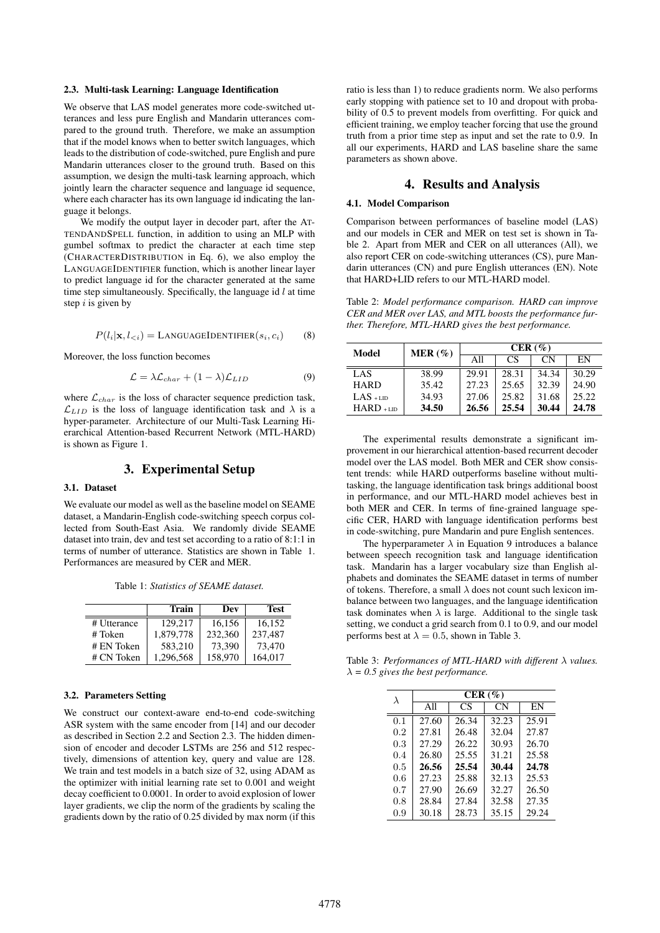#### 2.3. Multi-task Learning: Language Identification

We observe that LAS model generates more code-switched utterances and less pure English and Mandarin utterances compared to the ground truth. Therefore, we make an assumption that if the model knows when to better switch languages, which leads to the distribution of code-switched, pure English and pure Mandarin utterances closer to the ground truth. Based on this assumption, we design the multi-task learning approach, which jointly learn the character sequence and language id sequence, where each character has its own language id indicating the language it belongs.

We modify the output layer in decoder part, after the AT-TENDANDSPELL function, in addition to using an MLP with gumbel softmax to predict the character at each time step (CHARACTERDISTRIBUTION in Eq. 6), we also employ the LANGUAGEIDENTIFIER function, which is another linear layer to predict language id for the character generated at the same time step simultaneously. Specifically, the language id  $l$  at time step  $i$  is given by

$$
P(l_i|\mathbf{x}, l_{< i}) = \text{LANGUAGEIDENTIFIER}(s_i, c_i) \tag{8}
$$

Moreover, the loss function becomes

$$
\mathcal{L} = \lambda \mathcal{L}_{char} + (1 - \lambda) \mathcal{L}_{LID} \tag{9}
$$

where  $\mathcal{L}_{char}$  is the loss of character sequence prediction task,  $\mathcal{L}_{LID}$  is the loss of language identification task and  $\lambda$  is a hyper-parameter. Architecture of our Multi-Task Learning Hierarchical Attention-based Recurrent Network (MTL-HARD) is shown as Figure 1.

### 3. Experimental Setup

#### 3.1. Dataset

We evaluate our model as well as the baseline model on SEAME dataset, a Mandarin-English code-switching speech corpus collected from South-East Asia. We randomly divide SEAME dataset into train, dev and test set according to a ratio of 8:1:1 in terms of number of utterance. Statistics are shown in Table 1. Performances are measured by CER and MER.

Table 1: *Statistics of SEAME dataset.*

|             | <b>Train</b> | Dev     | <b>Test</b> |
|-------------|--------------|---------|-------------|
| # Utterance | 129.217      | 16,156  | 16,152      |
| # Token     | 1,879,778    | 232,360 | 237,487     |
| # EN Token  | 583.210      | 73.390  | 73,470      |
| # CN Token  | 1.296.568    | 158,970 | 164,017     |

#### 3.2. Parameters Setting

We construct our context-aware end-to-end code-switching ASR system with the same encoder from [14] and our decoder as described in Section 2.2 and Section 2.3. The hidden dimension of encoder and decoder LSTMs are 256 and 512 respectively, dimensions of attention key, query and value are 128. We train and test models in a batch size of 32, using ADAM as the optimizer with initial learning rate set to 0.001 and weight decay coefficient to 0.0001. In order to avoid explosion of lower layer gradients, we clip the norm of the gradients by scaling the gradients down by the ratio of 0.25 divided by max norm (if this ratio is less than 1) to reduce gradients norm. We also performs early stopping with patience set to 10 and dropout with probability of 0.5 to prevent models from overfitting. For quick and efficient training, we employ teacher forcing that use the ground truth from a prior time step as input and set the rate to 0.9. In all our experiments, HARD and LAS baseline share the same parameters as shown above.

### 4. Results and Analysis

#### 4.1. Model Comparison

Comparison between performances of baseline model (LAS) and our models in CER and MER on test set is shown in Table 2. Apart from MER and CER on all utterances (All), we also report CER on code-switching utterances (CS), pure Mandarin utterances (CN) and pure English utterances (EN). Note that HARD+LID refers to our MTL-HARD model.

Table 2: *Model performance comparison. HARD can improve CER and MER over LAS, and MTL boosts the performance further. Therefore, MTL-HARD gives the best performance.*

| Model       | MER(%) | CER(%) |       |       |       |
|-------------|--------|--------|-------|-------|-------|
|             |        | All    | CS    | CN.   | EN    |
| LAS         | 38.99  | 29.91  | 28.31 | 34.34 | 30.29 |
| <b>HARD</b> | 35.42  | 27.23  | 25.65 | 32.39 | 24.90 |
| $LAS + LID$ | 34.93  | 27.06  | 25.82 | 31.68 | 25.22 |
| $HARD + LD$ | 34.50  | 26.56  | 25.54 | 30.44 | 24.78 |

The experimental results demonstrate a significant improvement in our hierarchical attention-based recurrent decoder model over the LAS model. Both MER and CER show consistent trends: while HARD outperforms baseline without multitasking, the language identification task brings additional boost in performance, and our MTL-HARD model achieves best in both MER and CER. In terms of fine-grained language specific CER, HARD with language identification performs best in code-switching, pure Mandarin and pure English sentences.

The hyperparameter  $\lambda$  in Equation 9 introduces a balance between speech recognition task and language identification task. Mandarin has a larger vocabulary size than English alphabets and dominates the SEAME dataset in terms of number of tokens. Therefore, a small  $\lambda$  does not count such lexicon imbalance between two languages, and the language identification task dominates when  $\lambda$  is large. Additional to the single task setting, we conduct a grid search from 0.1 to 0.9, and our model performs best at  $\lambda = 0.5$ , shown in Table 3.

Table 3: *Performances of MTL-HARD with different* λ *values.*  $\lambda = 0.5$  gives the best performance.

| λ       | CER(%) |       |       |       |  |
|---------|--------|-------|-------|-------|--|
|         | All    | CS    | CN    | EN    |  |
| 0.1     | 27.60  | 26.34 | 32.23 | 25.91 |  |
| $0.2\,$ | 27.81  | 26.48 | 32.04 | 27.87 |  |
| 0.3     | 27.29  | 26.22 | 30.93 | 26.70 |  |
| 0.4     | 26.80  | 25.55 | 31.21 | 25.58 |  |
| 0.5     | 26.56  | 25.54 | 30.44 | 24.78 |  |
| 0.6     | 27.23  | 25.88 | 32.13 | 25.53 |  |
| 0.7     | 27.90  | 26.69 | 32.27 | 26.50 |  |
| 0.8     | 28.84  | 27.84 | 32.58 | 27.35 |  |
| 0.9     | 30.18  | 28.73 | 35.15 | 29.24 |  |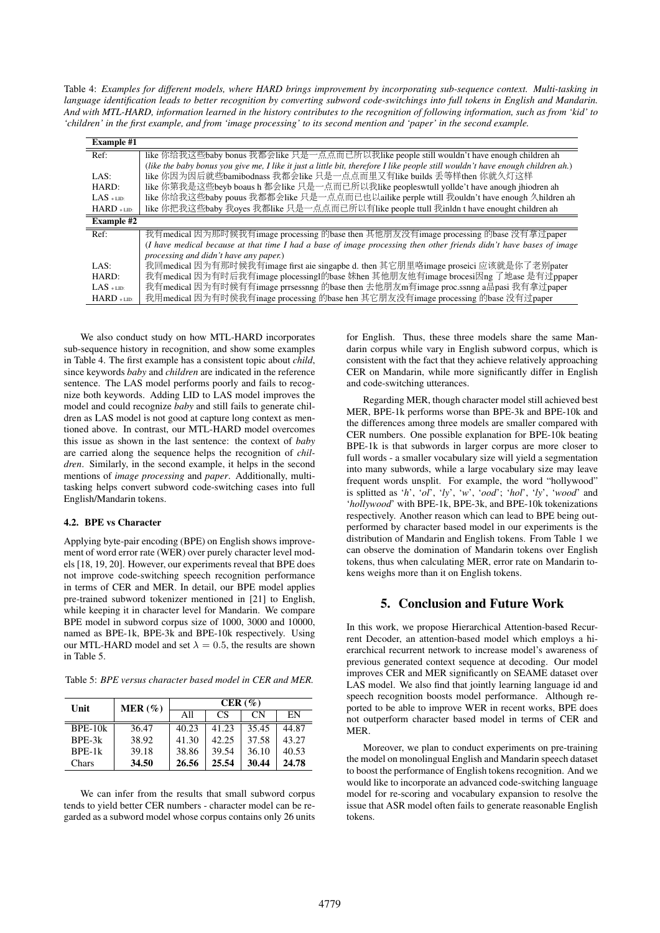Table 4: *Examples for different models, where HARD brings improvement by incorporating sub-sequence context. Multi-tasking in language identification leads to better recognition by converting subword code-switchings into full tokens in English and Mandarin. And with MTL-HARD, information learned in the history contributes to the recognition of following information, such as from 'kid' to 'children' in the first example, and from 'image processing' to its second mention and 'paper' in the second example.*

| <b>Example #1</b> |                                                                                                                                 |
|-------------------|---------------------------------------------------------------------------------------------------------------------------------|
| Ref:              | like 你给我这些baby bonus 我都会like 只是一点点而已所以我like people still wouldn't have enough children ah                                       |
|                   | (like the baby bonus you give me, I like it just a little bit, therefore I like people still wouldn't have enough children ah.) |
| LAS:              | like 你因为因后就些bamibodnass 我都会like 只是一点点而里又有like builds 丢等样then 你就久灯这样                                                             |
| HARD:             | like 你第我是这些beyb boaus h 都会like 只是一点而已所以我like peopleswtull yollde't have anough jhiodren ah                                      |
| $LAS + LID$       | like 你给我这些baby pouus 我都都会like 只是一点点而已也以ailike perple wtill 我ouldn't have enough 久hildren ah                                     |
| $HARD + LID$      | like 你把我这些baby 我oyes 我都like 只是一点点而已所以有like people ttull 我inldn t have enought children ah                                       |
| <b>Example #2</b> |                                                                                                                                 |
| Ref:              | 我有medical 因为那时候我有image processing 的base then 其他朋友没有image processing 的base 没有拿过paper                                             |
|                   | (I have medical because at that time I had a base of image processing then other friends didn't have bases of image             |
|                   | processing and didn't have any paper.)                                                                                          |
| LAS:              | 我回medical 因为有那时候我有image first aie singapbe d. then 其它朋里咯image proseici 应该就是你了老别pater                                            |
| HARD:             | 我有medical 因为有时后我有image plocessingl的base 妹hen 其他朋友他有image brocesi因ng 了地ase 是有过ppaper                                             |
| $LAS + LID$       | 我有medical 因为有时候有有image prrsessnng 的base then 去他朋友m有image proc.ssnng a品pasi 我有拿过paper                                            |
| $HARD + LID:$     | 我用medical 因为有时侯我有inage processing 的base hen 其它朋友没有image processing 的base 没有过paper                                               |
|                   |                                                                                                                                 |

We also conduct study on how MTL-HARD incorporates sub-sequence history in recognition, and show some examples in Table 4. The first example has a consistent topic about *child*, since keywords *baby* and *children* are indicated in the reference sentence. The LAS model performs poorly and fails to recognize both keywords. Adding LID to LAS model improves the model and could recognize *baby* and still fails to generate children as LAS model is not good at capture long context as mentioned above. In contrast, our MTL-HARD model overcomes this issue as shown in the last sentence: the context of *baby* are carried along the sequence helps the recognition of *children*. Similarly, in the second example, it helps in the second mentions of *image processing* and *paper*. Additionally, multitasking helps convert subword code-switching cases into full English/Mandarin tokens.

#### 4.2. BPE vs Character

Applying byte-pair encoding (BPE) on English shows improvement of word error rate (WER) over purely character level models [18, 19, 20]. However, our experiments reveal that BPE does not improve code-switching speech recognition performance in terms of CER and MER. In detail, our BPE model applies pre-trained subword tokenizer mentioned in [21] to English, while keeping it in character level for Mandarin. We compare BPE model in subword corpus size of 1000, 3000 and 10000, named as BPE-1k, BPE-3k and BPE-10k respectively. Using our MTL-HARD model and set  $\lambda = 0.5$ , the results are shown in Table 5.

Table 5: *BPE versus character based model in CER and MER.*

| Unit      | MER $(\%)$ | CER(%) |       |       |       |
|-----------|------------|--------|-------|-------|-------|
|           |            | All    | CS    | CN.   | EN    |
| $BPE-10k$ | 36.47      | 40.23  | 41.23 | 35.45 | 44.87 |
| BPE-3k    | 38.92      | 41.30  | 42.25 | 37.58 | 43.27 |
| BPE-1k    | 39.18      | 38.86  | 39.54 | 36.10 | 40.53 |
| Chars     | 34.50      | 26.56  | 25.54 | 30.44 | 24.78 |

We can infer from the results that small subword corpus tends to yield better CER numbers - character model can be regarded as a subword model whose corpus contains only 26 units for English. Thus, these three models share the same Mandarin corpus while vary in English subword corpus, which is consistent with the fact that they achieve relatively approaching CER on Mandarin, while more significantly differ in English and code-switching utterances.

Regarding MER, though character model still achieved best MER, BPE-1k performs worse than BPE-3k and BPE-10k and the differences among three models are smaller compared with CER numbers. One possible explanation for BPE-10k beating BPE-1k is that subwords in larger corpus are more closer to full words - a smaller vocabulary size will yield a segmentation into many subwords, while a large vocabulary size may leave frequent words unsplit. For example, the word "hollywood" is splitted as '*h*', '*ol*', '*ly*', '*w*', '*ood*'; '*hol*', '*ly*', '*wood*' and '*hollywood*' with BPE-1k, BPE-3k, and BPE-10k tokenizations respectively. Another reason which can lead to BPE being outperformed by character based model in our experiments is the distribution of Mandarin and English tokens. From Table 1 we can observe the domination of Mandarin tokens over English tokens, thus when calculating MER, error rate on Mandarin tokens weighs more than it on English tokens.

### 5. Conclusion and Future Work

In this work, we propose Hierarchical Attention-based Recurrent Decoder, an attention-based model which employs a hierarchical recurrent network to increase model's awareness of previous generated context sequence at decoding. Our model improves CER and MER significantly on SEAME dataset over LAS model. We also find that jointly learning language id and speech recognition boosts model performance. Although reported to be able to improve WER in recent works, BPE does not outperform character based model in terms of CER and **MER** 

Moreover, we plan to conduct experiments on pre-training the model on monolingual English and Mandarin speech dataset to boost the performance of English tokens recognition. And we would like to incorporate an advanced code-switching language model for re-scoring and vocabulary expansion to resolve the issue that ASR model often fails to generate reasonable English tokens.